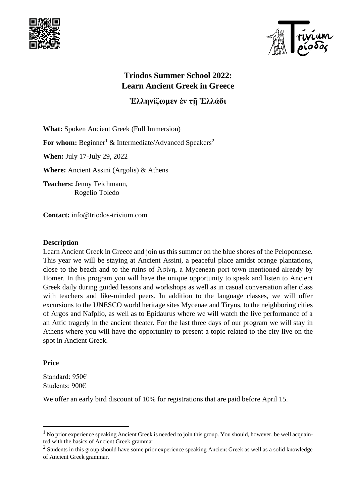



# **Triodos Summer School 2022: Learn Ancient Greek in Greece**

**Ἑλληνίζωμεν ἐν τῇ Ἑλλάδι**

**What:** Spoken Ancient Greek (Full Immersion)

**For whom:** Beginner<sup>1</sup> & Intermediate/Advanced Speakers<sup>2</sup>

**When:** July 17-July 29, 2022

**Where:** Ancient Assini (Argolis) & Athens

**Teachers:** Jenny Teichmann, Rogelio Toledo

**Contact:** info@triodos-trivium.com

#### **Description**

Learn Ancient Greek in Greece and join us this summer on the blue shores of the Peloponnese. This year we will be staying at Ancient Assini, a peaceful place amidst orange plantations, close to the beach and to the ruins of Ἀσίνη, a Mycenean port town mentioned already by Homer. In this program you will have the unique opportunity to speak and listen to Ancient Greek daily during guided lessons and workshops as well as in casual conversation after class with teachers and like-minded peers. In addition to the language classes, we will offer excursions to the UNESCO world heritage sites Mycenae and Tiryns, to the neighboring cities of Argos and Nafplio, as well as to Epidaurus where we will watch the live performance of a an Attic tragedy in the ancient theater. For the last three days of our program we will stay in Athens where you will have the opportunity to present a topic related to the city live on the spot in Ancient Greek.

### **Price**

Standard: 950€ Students: 900€

We offer an early bird discount of 10% for registrations that are paid before April 15.

 $1$  No prior experience speaking Ancient Greek is needed to join this group. You should, however, be well acquainted with the basics of Ancient Greek grammar.

 $2$  Students in this group should have some prior experience speaking Ancient Greek as well as a solid knowledge of Ancient Greek grammar.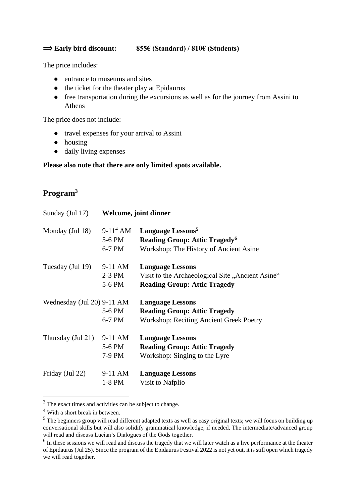#### ⟹ **Early bird discount: 855€ (Standard) / 810€ (Students)**

The price includes:

- entrance to museums and sites
- the ticket for the theater play at Epidaurus
- free transportation during the excursions as well as for the journey from Assini to Athens

The price does not include:

- travel expenses for your arrival to Assini
- housing
- daily living expenses

#### **Please also note that there are only limited spots available.**

## **Program<sup>3</sup>**

| Sunday (Jul 17)            | Welcome, joint dinner |                                                  |  |
|----------------------------|-----------------------|--------------------------------------------------|--|
| Monday (Jul 18)            | $9-11^4$ AM           | Language Lessons <sup>5</sup>                    |  |
|                            | 5-6 PM                | <b>Reading Group: Attic Tragedy<sup>6</sup></b>  |  |
|                            | 6-7 PM                | Workshop: The History of Ancient Asine           |  |
| Tuesday (Jul 19)           | $9-11$ AM             | <b>Language Lessons</b>                          |  |
|                            | $2-3$ PM              | Visit to the Archaeological Site "Ancient Asine" |  |
|                            | 5-6 PM                | <b>Reading Group: Attic Tragedy</b>              |  |
| Wednesday (Jul 20) 9-11 AM |                       | <b>Language Lessons</b>                          |  |
|                            | 5-6 PM                | <b>Reading Group: Attic Tragedy</b>              |  |
|                            | 6-7 PM                | <b>Workshop: Reciting Ancient Greek Poetry</b>   |  |
| Thursday (Jul 21)          | $9-11$ AM             | <b>Language Lessons</b>                          |  |
|                            | 5-6 PM                | <b>Reading Group: Attic Tragedy</b>              |  |
|                            | 7-9 PM                | Workshop: Singing to the Lyre                    |  |
| Friday (Jul 22)            | 9-11 AM               | <b>Language Lessons</b>                          |  |
|                            | $1-8$ PM              | Visit to Nafplio                                 |  |

<sup>&</sup>lt;sup>3</sup> The exact times and activities can be subject to change.

<sup>4</sup> With a short break in between.

<sup>&</sup>lt;sup>5</sup> The beginners group will read different adapted texts as well as easy original texts; we will focus on building up conversational skills but will also solidify grammatical knowledge, if needed. The intermediate/advanced group will read and discuss Lucian's Dialogues of the Gods together.

 $<sup>6</sup>$  In these sessions we will read and discuss the tragedy that we will later watch as a live performance at the theater</sup> of Epidaurus (Jul 25). Since the program of the Epidaurus Festival 2022 is not yet out, it is still open which tragedy we will read together.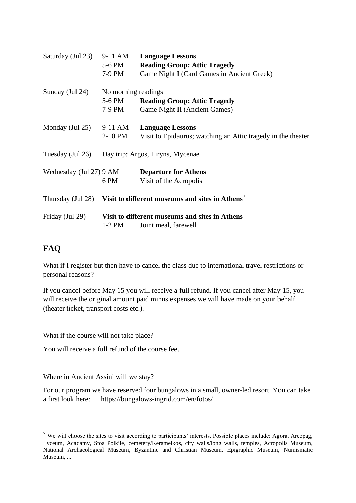| Saturday (Jul 23)       | 9-11 AM<br>5-6 PM<br>7-9 PM             | <b>Language Lessons</b><br><b>Reading Group: Attic Tragedy</b><br>Game Night I (Card Games in Ancient Greek) |
|-------------------------|-----------------------------------------|--------------------------------------------------------------------------------------------------------------|
| Sunday (Jul 24)         | No morning readings<br>5-6 PM<br>7-9 PM | <b>Reading Group: Attic Tragedy</b><br>Game Night II (Ancient Games)                                         |
| Monday (Jul 25)         | 9-11 AM<br>2-10 PM                      | <b>Language Lessons</b><br>Visit to Epidaurus; watching an Attic tragedy in the theater                      |
| Tuesday (Jul 26)        | Day trip: Argos, Tiryns, Mycenae        |                                                                                                              |
| Wednesday (Jul 27) 9 AM | 6 PM                                    | <b>Departure for Athens</b><br>Visit of the Acropolis                                                        |
| Thursday (Jul 28)       |                                         | Visit to different museums and sites in Athens <sup>7</sup>                                                  |
| Friday (Jul 29)         | $1-2$ PM                                | Visit to different museums and sites in Athens<br>Joint meal, farewell                                       |

## **FAQ**

What if I register but then have to cancel the class due to international travel restrictions or personal reasons?

If you cancel before May 15 you will receive a full refund. If you cancel after May 15, you will receive the original amount paid minus expenses we will have made on your behalf (theater ticket, transport costs etc.).

What if the course will not take place?

You will receive a full refund of the course fee.

Where in Ancient Assini will we stay?

For our program we have reserved four bungalows in a small, owner-led resort. You can take a first look here: https://bungalows-ingrid.com/en/fotos/

 $<sup>7</sup>$  We will choose the sites to visit according to participants' interests. Possible places include: Agora, Areopag,</sup> Lyceum, Acadamy, Stoa Poikile, cemetery/Kerameikos, city walls/long walls, temples, Acropolis Museum, National Archaeological Museum, Byzantine and Christian Museum, Epigraphic Museum, Numismatic Museum, ...